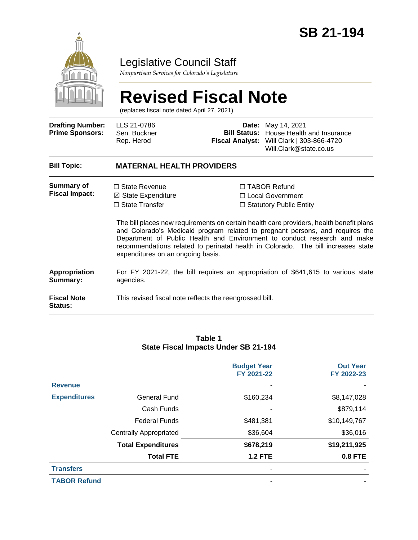

### Legislative Council Staff

*Nonpartisan Services for Colorado's Legislature*

# **Revised Fiscal Note**

(replaces fiscal note dated April 27, 2021)

| <b>Drafting Number:</b><br><b>Prime Sponsors:</b> | LLS 21-0786<br>Sen. Buckner<br>Rep. Herod                                                                           | <b>Fiscal Analyst:</b>                                  | <b>Date:</b> May 14, 2021<br><b>Bill Status:</b> House Health and Insurance<br>Will Clark   303-866-4720<br>Will.Clark@state.co.us                                                                                                                                                                                                                                                                                            |  |  |  |
|---------------------------------------------------|---------------------------------------------------------------------------------------------------------------------|---------------------------------------------------------|-------------------------------------------------------------------------------------------------------------------------------------------------------------------------------------------------------------------------------------------------------------------------------------------------------------------------------------------------------------------------------------------------------------------------------|--|--|--|
| <b>Bill Topic:</b>                                | <b>MATERNAL HEALTH PROVIDERS</b>                                                                                    |                                                         |                                                                                                                                                                                                                                                                                                                                                                                                                               |  |  |  |
| <b>Summary of</b><br><b>Fiscal Impact:</b>        | $\Box$ State Revenue<br>$\boxtimes$ State Expenditure<br>$\Box$ State Transfer<br>expenditures on an ongoing basis. |                                                         | $\Box$ TABOR Refund<br>$\Box$ Local Government<br>$\Box$ Statutory Public Entity<br>The bill places new requirements on certain health care providers, health benefit plans<br>and Colorado's Medicaid program related to pregnant persons, and requires the<br>Department of Public Health and Environment to conduct research and make<br>recommendations related to perinatal health in Colorado. The bill increases state |  |  |  |
| Appropriation<br>Summary:                         | For FY 2021-22, the bill requires an appropriation of \$641,615 to various state<br>agencies.                       |                                                         |                                                                                                                                                                                                                                                                                                                                                                                                                               |  |  |  |
| <b>Fiscal Note</b><br><b>Status:</b>              |                                                                                                                     | This revised fiscal note reflects the reengrossed bill. |                                                                                                                                                                                                                                                                                                                                                                                                                               |  |  |  |

#### **Table 1 State Fiscal Impacts Under SB 21-194**

|                     |                               | <b>Budget Year</b><br>FY 2021-22 | <b>Out Year</b><br>FY 2022-23 |
|---------------------|-------------------------------|----------------------------------|-------------------------------|
| <b>Revenue</b>      |                               |                                  |                               |
| <b>Expenditures</b> | <b>General Fund</b>           | \$160,234                        | \$8,147,028                   |
|                     | Cash Funds                    |                                  | \$879,114                     |
|                     | <b>Federal Funds</b>          | \$481,381                        | \$10,149,767                  |
|                     | <b>Centrally Appropriated</b> | \$36,604                         | \$36,016                      |
|                     | <b>Total Expenditures</b>     | \$678,219                        | \$19,211,925                  |
|                     | <b>Total FTE</b>              | <b>1.2 FTE</b>                   | 0.8 FTE                       |
| <b>Transfers</b>    |                               |                                  |                               |
| <b>TABOR Refund</b> |                               |                                  |                               |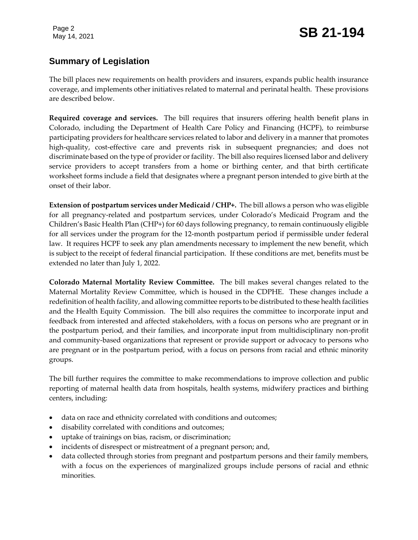## Page 2<br>May 14, 2021 **SB 21-194**

#### **Summary of Legislation**

The bill places new requirements on health providers and insurers, expands public health insurance coverage, and implements other initiatives related to maternal and perinatal health. These provisions are described below.

**Required coverage and services.** The bill requires that insurers offering health benefit plans in Colorado, including the Department of Health Care Policy and Financing (HCPF), to reimburse participating providers for healthcare services related to labor and delivery in a manner that promotes high-quality, cost-effective care and prevents risk in subsequent pregnancies; and does not discriminate based on the type of provider or facility. The bill also requires licensed labor and delivery service providers to accept transfers from a home or birthing center, and that birth certificate worksheet forms include a field that designates where a pregnant person intended to give birth at the onset of their labor.

**Extension of postpartum services under Medicaid / CHP+.** The bill allows a person who was eligible for all pregnancy-related and postpartum services, under Colorado's Medicaid Program and the Children's Basic Health Plan (CHP+) for 60 days following pregnancy, to remain continuously eligible for all services under the program for the 12-month postpartum period if permissible under federal law. It requires HCPF to seek any plan amendments necessary to implement the new benefit, which is subject to the receipt of federal financial participation. If these conditions are met, benefits must be extended no later than July 1, 2022.

**Colorado Maternal Mortality Review Committee.** The bill makes several changes related to the Maternal Mortality Review Committee, which is housed in the CDPHE. These changes include a redefinition of health facility, and allowing committee reports to be distributed to these health facilities and the Health Equity Commission. The bill also requires the committee to incorporate input and feedback from interested and affected stakeholders, with a focus on persons who are pregnant or in the postpartum period, and their families, and incorporate input from multidisciplinary non-profit and community-based organizations that represent or provide support or advocacy to persons who are pregnant or in the postpartum period, with a focus on persons from racial and ethnic minority groups.

The bill further requires the committee to make recommendations to improve collection and public reporting of maternal health data from hospitals, health systems, midwifery practices and birthing centers, including:

- data on race and ethnicity correlated with conditions and outcomes;
- disability correlated with conditions and outcomes;
- uptake of trainings on bias, racism, or discrimination;
- incidents of disrespect or mistreatment of a pregnant person; and,
- data collected through stories from pregnant and postpartum persons and their family members, with a focus on the experiences of marginalized groups include persons of racial and ethnic minorities.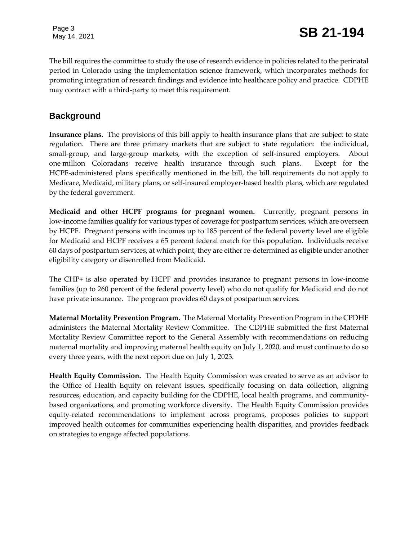The bill requires the committee to study the use of research evidence in policies related to the perinatal period in Colorado using the implementation science framework, which incorporates methods for promoting integration of research findings and evidence into healthcare policy and practice. CDPHE may contract with a third-party to meet this requirement.

#### **Background**

**Insurance plans.** The provisions of this bill apply to health insurance plans that are subject to state regulation. There are three primary markets that are subject to state regulation: the individual, small-group, and large-group markets, with the exception of self-insured employers. About one million Coloradans receive health insurance through such plans. Except for the HCPF-administered plans specifically mentioned in the bill, the bill requirements do not apply to Medicare, Medicaid, military plans, or self-insured employer-based health plans, which are regulated by the federal government.

**Medicaid and other HCPF programs for pregnant women.** Currently, pregnant persons in low-income families qualify for various types of coverage for postpartum services, which are overseen by HCPF. Pregnant persons with incomes up to 185 percent of the federal poverty level are eligible for Medicaid and HCPF receives a 65 percent federal match for this population. Individuals receive 60 days of postpartum services, at which point, they are either re-determined as eligible under another eligibility category or disenrolled from Medicaid.

The CHP+ is also operated by HCPF and provides insurance to pregnant persons in low-income families (up to 260 percent of the federal poverty level) who do not qualify for Medicaid and do not have private insurance. The program provides 60 days of postpartum services.

**Maternal Mortality Prevention Program.** The Maternal Mortality Prevention Program in the CPDHE administers the Maternal Mortality Review Committee. The CDPHE submitted the first Maternal Mortality Review Committee report to the General Assembly with recommendations on reducing maternal mortality and improving maternal health equity on July 1, 2020, and must continue to do so every three years, with the next report due on July 1, 2023.

**Health Equity Commission.** The Health Equity Commission was created to serve as an advisor to the Office of Health Equity on relevant issues, specifically focusing on data collection, aligning resources, education, and capacity building for the CDPHE, local health programs, and communitybased organizations, and promoting workforce diversity. The Health Equity Commission provides equity-related recommendations to implement across programs, proposes policies to support improved health outcomes for communities experiencing health disparities, and provides feedback on strategies to engage affected populations.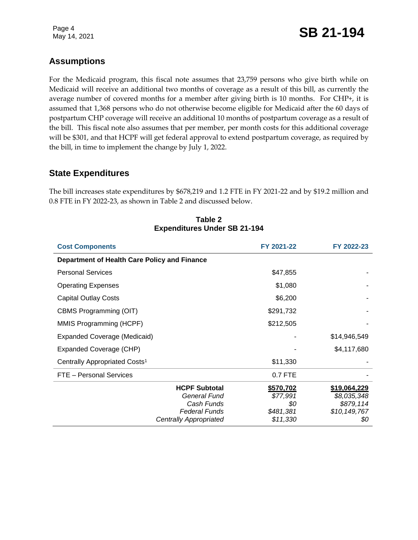### Page 4<br>May 14, 2021 **SB 21-194**

#### **Assumptions**

For the Medicaid program, this fiscal note assumes that 23,759 persons who give birth while on Medicaid will receive an additional two months of coverage as a result of this bill, as currently the average number of covered months for a member after giving birth is 10 months. For CHP+, it is assumed that 1,368 persons who do not otherwise become eligible for Medicaid after the 60 days of postpartum CHP coverage will receive an additional 10 months of postpartum coverage as a result of the bill. This fiscal note also assumes that per member, per month costs for this additional coverage will be \$301, and that HCPF will get federal approval to extend postpartum coverage, as required by the bill, in time to implement the change by July 1, 2022.

#### **State Expenditures**

The bill increases state expenditures by \$678,219 and 1.2 FTE in FY 2021-22 and by \$19.2 million and 0.8 FTE in FY 2022-23, as shown in Table 2 and discussed below.

| <b>Cost Components</b>                                                                                      | FY 2021-22                                            | FY 2022-23                                                      |
|-------------------------------------------------------------------------------------------------------------|-------------------------------------------------------|-----------------------------------------------------------------|
| Department of Health Care Policy and Finance                                                                |                                                       |                                                                 |
| <b>Personal Services</b>                                                                                    | \$47,855                                              |                                                                 |
| <b>Operating Expenses</b>                                                                                   | \$1,080                                               |                                                                 |
| <b>Capital Outlay Costs</b>                                                                                 | \$6,200                                               |                                                                 |
| CBMS Programming (OIT)                                                                                      | \$291,732                                             |                                                                 |
| MMIS Programming (HCPF)                                                                                     | \$212,505                                             |                                                                 |
| Expanded Coverage (Medicaid)                                                                                |                                                       | \$14,946,549                                                    |
| Expanded Coverage (CHP)                                                                                     |                                                       | \$4,117,680                                                     |
| Centrally Appropriated Costs <sup>1</sup>                                                                   | \$11,330                                              |                                                                 |
| FTE - Personal Services                                                                                     | 0.7 FTE                                               |                                                                 |
| <b>HCPF Subtotal</b><br>General Fund<br>Cash Funds<br><b>Federal Funds</b><br><b>Centrally Appropriated</b> | \$570,702<br>\$77,991<br>\$0<br>\$481,381<br>\$11,330 | \$19,064,229<br>\$8,035,348<br>\$879,114<br>\$10,149,767<br>\$0 |

#### **Table 2 Expenditures Under SB 21-194**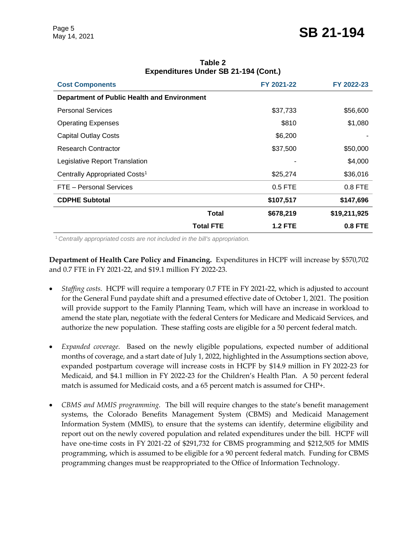| <b>Cost Components</b>                             |                  | FY 2021-22     | FY 2022-23     |
|----------------------------------------------------|------------------|----------------|----------------|
| <b>Department of Public Health and Environment</b> |                  |                |                |
| <b>Personal Services</b>                           |                  | \$37,733       | \$56,600       |
| <b>Operating Expenses</b>                          |                  | \$810          | \$1,080        |
| <b>Capital Outlay Costs</b>                        |                  | \$6,200        |                |
| <b>Research Contractor</b>                         |                  | \$37,500       | \$50,000       |
| Legislative Report Translation                     |                  |                | \$4,000        |
| Centrally Appropriated Costs <sup>1</sup>          |                  | \$25,274       | \$36,016       |
| FTE - Personal Services                            |                  | 0.5 FTE        | 0.8 FTE        |
| <b>CDPHE Subtotal</b>                              |                  | \$107,517      | \$147,696      |
|                                                    | <b>Total</b>     | \$678,219      | \$19,211,925   |
|                                                    | <b>Total FTE</b> | <b>1.2 FTE</b> | <b>0.8 FTE</b> |

**Table 2 Expenditures Under SB 21-194 (Cont.)**

<sup>1</sup>*Centrally appropriated costs are not included in the bill's appropriation.*

**Department of Health Care Policy and Financing.** Expenditures in HCPF will increase by \$570,702 and 0.7 FTE in FY 2021-22, and \$19.1 million FY 2022-23.

- *Staffing costs.* HCPF will require a temporary 0.7 FTE in FY 2021-22, which is adjusted to account for the General Fund paydate shift and a presumed effective date of October 1, 2021. The position will provide support to the Family Planning Team, which will have an increase in workload to amend the state plan, negotiate with the federal Centers for Medicare and Medicaid Services, and authorize the new population. These staffing costs are eligible for a 50 percent federal match.
- *Expanded coverage.* Based on the newly eligible populations, expected number of additional months of coverage, and a start date of July 1, 2022, highlighted in the Assumptions section above, expanded postpartum coverage will increase costs in HCPF by \$14.9 million in FY 2022-23 for Medicaid, and \$4.1 million in FY 2022-23 for the Children's Health Plan. A 50 percent federal match is assumed for Medicaid costs, and a 65 percent match is assumed for CHP+.
- *CBMS and MMIS programming.* The bill will require changes to the state's benefit management systems, the Colorado Benefits Management System (CBMS) and Medicaid Management Information System (MMIS), to ensure that the systems can identify, determine eligibility and report out on the newly covered population and related expenditures under the bill. HCPF will have one-time costs in FY 2021-22 of \$291,732 for CBMS programming and \$212,505 for MMIS programming, which is assumed to be eligible for a 90 percent federal match. Funding for CBMS programming changes must be reappropriated to the Office of Information Technology.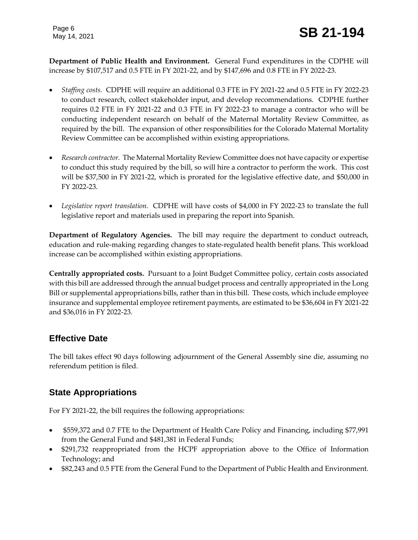**Department of Public Health and Environment.** General Fund expenditures in the CDPHE will increase by \$107,517 and 0.5 FTE in FY 2021-22, and by \$147,696 and 0.8 FTE in FY 2022-23.

- *Staffing costs.* CDPHE will require an additional 0.3 FTE in FY 2021-22 and 0.5 FTE in FY 2022-23 to conduct research, collect stakeholder input, and develop recommendations. CDPHE further requires 0.2 FTE in FY 2021-22 and 0.3 FTE in FY 2022-23 to manage a contractor who will be conducting independent research on behalf of the Maternal Mortality Review Committee, as required by the bill. The expansion of other responsibilities for the Colorado Maternal Mortality Review Committee can be accomplished within existing appropriations.
- *Research contractor.* The Maternal Mortality Review Committee does not have capacity or expertise to conduct this study required by the bill, so will hire a contractor to perform the work. This cost will be \$37,500 in FY 2021-22, which is prorated for the legislative effective date, and \$50,000 in FY 2022-23.
- *Legislative report translation.* CDPHE will have costs of \$4,000 in FY 2022-23 to translate the full legislative report and materials used in preparing the report into Spanish.

**Department of Regulatory Agencies.** The bill may require the department to conduct outreach, education and rule-making regarding changes to state-regulated health benefit plans. This workload increase can be accomplished within existing appropriations.

**Centrally appropriated costs.** Pursuant to a Joint Budget Committee policy, certain costs associated with this bill are addressed through the annual budget process and centrally appropriated in the Long Bill or supplemental appropriations bills, rather than in this bill. These costs, which include employee insurance and supplemental employee retirement payments, are estimated to be \$36,604 in FY 2021-22 and \$36,016 in FY 2022-23.

#### **Effective Date**

The bill takes effect 90 days following adjournment of the General Assembly sine die, assuming no referendum petition is filed.

#### **State Appropriations**

For FY 2021-22, the bill requires the following appropriations:

- \$559,372 and 0.7 FTE to the Department of Health Care Policy and Financing, including \$77,991 from the General Fund and \$481,381 in Federal Funds;
- \$291,732 reappropriated from the HCPF appropriation above to the Office of Information Technology; and
- \$82,243 and 0.5 FTE from the General Fund to the Department of Public Health and Environment.